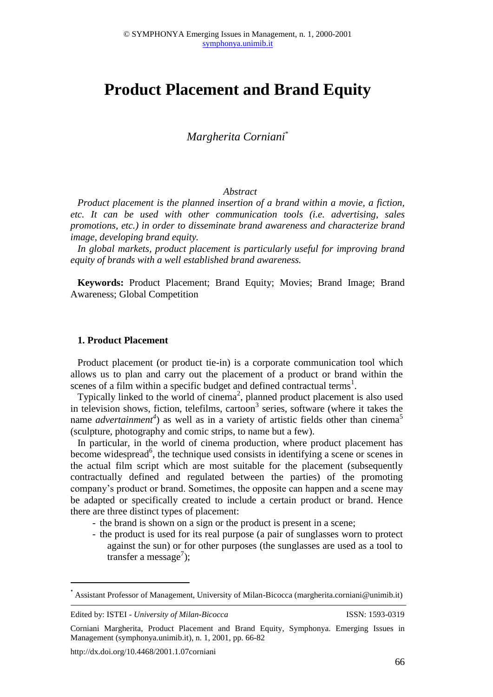# **Product Placement and Brand Equity**

*Margherita Corniani*\*

## *Abstract*

*Product placement is the planned insertion of a brand within a movie, a fiction, etc. It can be used with other communication tools (i.e. advertising, sales promotions, etc.) in order to disseminate brand awareness and characterize brand image, developing brand equity.* 

*In global markets, product placement is particularly useful for improving brand equity of brands with a well established brand awareness.*

**Keywords:** Product Placement; Brand Equity; Movies; Brand Image; Brand Awareness; Global Competition

#### **1. Product Placement**

Product placement (or product tie-in) is a corporate communication tool which allows us to plan and carry out the placement of a product or brand within the scenes of a film within a specific budget and defined contractual terms<sup>1</sup>.

Typically linked to the world of cinema<sup>2</sup>, planned product placement is also used in television shows, fiction, telefilms, cartoon<sup>3</sup> series, software (where it takes the name *advertainment<sup>4</sup>*) as well as in a variety of artistic fields other than cinema<sup>5</sup> (sculpture, photography and comic strips, to name but a few).

In particular, in the world of cinema production, where product placement has become widespread<sup>6</sup>, the technique used consists in identifying a scene or scenes in the actual film script which are most suitable for the placement (subsequently contractually defined and regulated between the parties) of the promoting company's product or brand. Sometimes, the opposite can happen and a scene may be adapted or specifically created to include a certain product or brand. Hence there are three distinct types of placement:

- the brand is shown on a sign or the product is present in a scene;
- the product is used for its real purpose (a pair of sunglasses worn to protect against the sun) or for other purposes (the sunglasses are used as a tool to transfer a message<sup>7</sup>);

Edited by: ISTEI - *University of Milan-Bicocca* ISSN: 1593-0319

**.** 

<sup>\*</sup> Assistant Professor of Management, University of Milan-Bicocca (margherita.corniani@unimib.it)

Corniani Margherita, Product Placement and Brand Equity, Symphonya. Emerging Issues in Management (symphonya.unimib.it), n. 1, 2001, pp. 66-82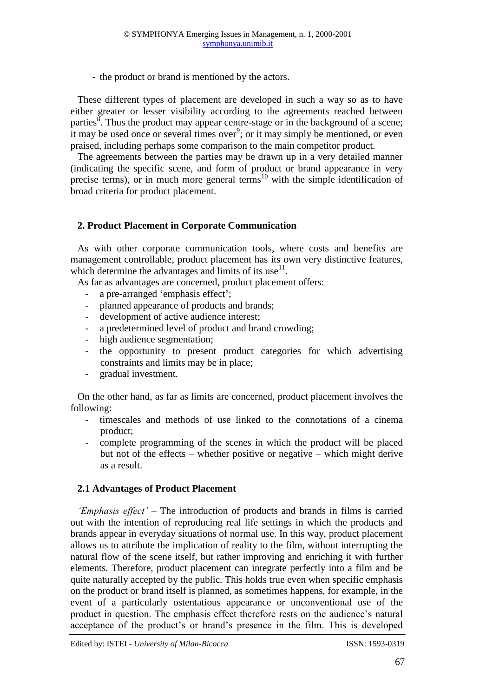- the product or brand is mentioned by the actors.

These different types of placement are developed in such a way so as to have either greater or lesser visibility according to the agreements reached between parties $\overline{\text{8}}$ . Thus the product may appear centre-stage or in the background of a scene; it may be used once or several times over<sup>9</sup>; or it may simply be mentioned, or even praised, including perhaps some comparison to the main competitor product.

The agreements between the parties may be drawn up in a very detailed manner (indicating the specific scene, and form of product or brand appearance in very precise terms), or in much more general terms<sup>10</sup> with the simple identification of broad criteria for product placement.

# **2. Product Placement in Corporate Communication**

As with other corporate communication tools, where costs and benefits are management controllable, product placement has its own very distinctive features, which determine the advantages and limits of its use $^{11}$ .

As far as advantages are concerned, product placement offers:

- a pre-arranged 'emphasis effect';
- planned appearance of products and brands;
- development of active audience interest;
- a predetermined level of product and brand crowding;
- high audience segmentation;
- the opportunity to present product categories for which advertising constraints and limits may be in place;
- gradual investment.

On the other hand, as far as limits are concerned, product placement involves the following:

- timescales and methods of use linked to the connotations of a cinema product;
- complete programming of the scenes in which the product will be placed but not of the effects – whether positive or negative – which might derive as a result.

# **2.1 Advantages of Product Placement**

*'Emphasis effect'* – The introduction of products and brands in films is carried out with the intention of reproducing real life settings in which the products and brands appear in everyday situations of normal use. In this way, product placement allows us to attribute the implication of reality to the film, without interrupting the natural flow of the scene itself, but rather improving and enriching it with further elements. Therefore, product placement can integrate perfectly into a film and be quite naturally accepted by the public. This holds true even when specific emphasis on the product or brand itself is planned, as sometimes happens, for example, in the event of a particularly ostentatious appearance or unconventional use of the product in question. The emphasis effect therefore rests on the audience's natural acceptance of the product's or brand's presence in the film. This is developed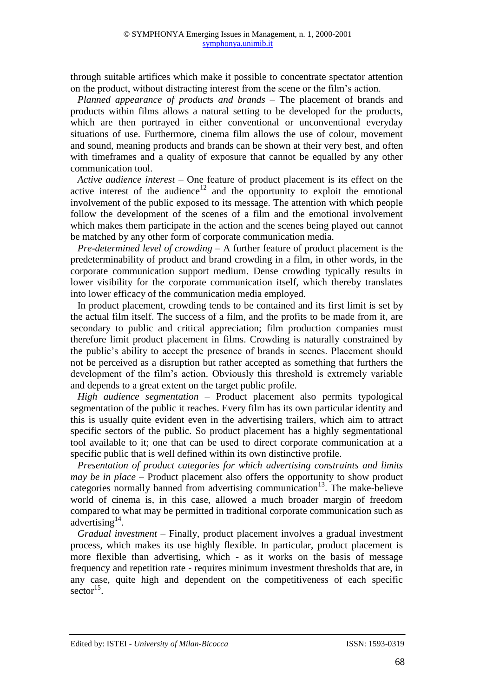through suitable artifices which make it possible to concentrate spectator attention on the product, without distracting interest from the scene or the film's action.

*Planned appearance of products and brands* – The placement of brands and products within films allows a natural setting to be developed for the products, which are then portrayed in either conventional or unconventional everyday situations of use. Furthermore, cinema film allows the use of colour, movement and sound, meaning products and brands can be shown at their very best, and often with timeframes and a quality of exposure that cannot be equalled by any other communication tool.

*Active audience interest* – One feature of product placement is its effect on the active interest of the audience<sup>12</sup> and the opportunity to exploit the emotional involvement of the public exposed to its message. The attention with which people follow the development of the scenes of a film and the emotional involvement which makes them participate in the action and the scenes being played out cannot be matched by any other form of corporate communication media.

*Pre-determined level of crowding* – A further feature of product placement is the predeterminability of product and brand crowding in a film, in other words, in the corporate communication support medium. Dense crowding typically results in lower visibility for the corporate communication itself, which thereby translates into lower efficacy of the communication media employed.

In product placement, crowding tends to be contained and its first limit is set by the actual film itself. The success of a film, and the profits to be made from it, are secondary to public and critical appreciation; film production companies must therefore limit product placement in films. Crowding is naturally constrained by the public's ability to accept the presence of brands in scenes. Placement should not be perceived as a disruption but rather accepted as something that furthers the development of the film's action. Obviously this threshold is extremely variable and depends to a great extent on the target public profile.

*High audience segmentation* – Product placement also permits typological segmentation of the public it reaches. Every film has its own particular identity and this is usually quite evident even in the advertising trailers, which aim to attract specific sectors of the public. So product placement has a highly segmentational tool available to it; one that can be used to direct corporate communication at a specific public that is well defined within its own distinctive profile.

*Presentation of product categories for which advertising constraints and limits may be in place* – Product placement also offers the opportunity to show product categories normally banned from advertising communication<sup>13</sup>. The make-believe world of cinema is, in this case, allowed a much broader margin of freedom compared to what may be permitted in traditional corporate communication such as advertising $^{14}$ .

*Gradual investment* – Finally, product placement involves a gradual investment process, which makes its use highly flexible. In particular, product placement is more flexible than advertising, which - as it works on the basis of message frequency and repetition rate - requires minimum investment thresholds that are, in any case, quite high and dependent on the competitiveness of each specific  $\text{sector}^{15}$ .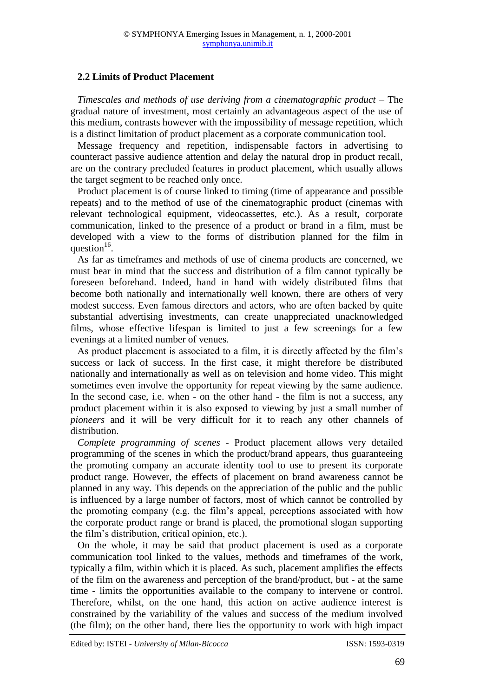# **2.2 Limits of Product Placement**

*Timescales and methods of use deriving from a cinematographic product* – The gradual nature of investment, most certainly an advantageous aspect of the use of this medium, contrasts however with the impossibility of message repetition, which is a distinct limitation of product placement as a corporate communication tool.

Message frequency and repetition, indispensable factors in advertising to counteract passive audience attention and delay the natural drop in product recall, are on the contrary precluded features in product placement, which usually allows the target segment to be reached only once.

Product placement is of course linked to timing (time of appearance and possible repeats) and to the method of use of the cinematographic product (cinemas with relevant technological equipment, videocassettes, etc.). As a result, corporate communication, linked to the presence of a product or brand in a film, must be developed with a view to the forms of distribution planned for the film in question $16$ .

As far as timeframes and methods of use of cinema products are concerned, we must bear in mind that the success and distribution of a film cannot typically be foreseen beforehand. Indeed, hand in hand with widely distributed films that become both nationally and internationally well known, there are others of very modest success. Even famous directors and actors, who are often backed by quite substantial advertising investments, can create unappreciated unacknowledged films, whose effective lifespan is limited to just a few screenings for a few evenings at a limited number of venues.

As product placement is associated to a film, it is directly affected by the film's success or lack of success. In the first case, it might therefore be distributed nationally and internationally as well as on television and home video. This might sometimes even involve the opportunity for repeat viewing by the same audience. In the second case, i.e. when - on the other hand - the film is not a success, any product placement within it is also exposed to viewing by just a small number of *pioneers* and it will be very difficult for it to reach any other channels of distribution.

*Complete programming of scenes* - Product placement allows very detailed programming of the scenes in which the product/brand appears, thus guaranteeing the promoting company an accurate identity tool to use to present its corporate product range. However, the effects of placement on brand awareness cannot be planned in any way. This depends on the appreciation of the public and the public is influenced by a large number of factors, most of which cannot be controlled by the promoting company (e.g. the film's appeal, perceptions associated with how the corporate product range or brand is placed, the promotional slogan supporting the film's distribution, critical opinion, etc.).

On the whole, it may be said that product placement is used as a corporate communication tool linked to the values, methods and timeframes of the work, typically a film, within which it is placed. As such, placement amplifies the effects of the film on the awareness and perception of the brand/product, but - at the same time - limits the opportunities available to the company to intervene or control. Therefore, whilst, on the one hand, this action on active audience interest is constrained by the variability of the values and success of the medium involved (the film); on the other hand, there lies the opportunity to work with high impact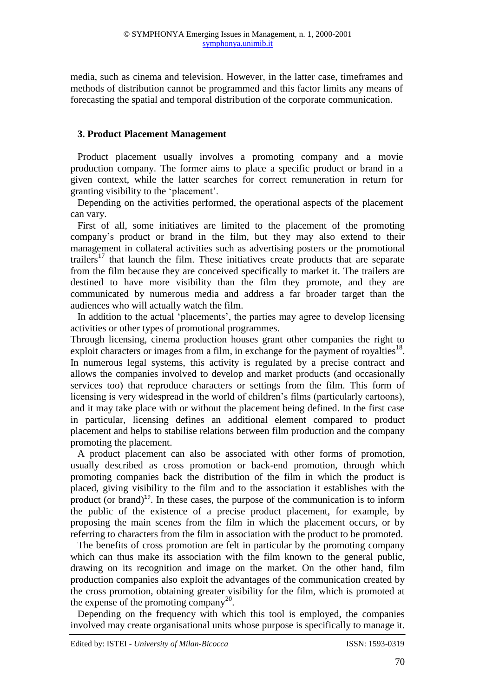media, such as cinema and television. However, in the latter case, timeframes and methods of distribution cannot be programmed and this factor limits any means of forecasting the spatial and temporal distribution of the corporate communication.

## **3. Product Placement Management**

Product placement usually involves a promoting company and a movie production company. The former aims to place a specific product or brand in a given context, while the latter searches for correct remuneration in return for granting visibility to the 'placement'.

Depending on the activities performed, the operational aspects of the placement can vary.

First of all, some initiatives are limited to the placement of the promoting company's product or brand in the film, but they may also extend to their management in collateral activities such as advertising posters or the promotional trailers<sup>17</sup> that launch the film. These initiatives create products that are separate from the film because they are conceived specifically to market it. The trailers are destined to have more visibility than the film they promote, and they are communicated by numerous media and address a far broader target than the audiences who will actually watch the film.

In addition to the actual 'placements', the parties may agree to develop licensing activities or other types of promotional programmes.

Through licensing, cinema production houses grant other companies the right to exploit characters or images from a film, in exchange for the payment of royalties $^{18}$ . In numerous legal systems, this activity is regulated by a precise contract and allows the companies involved to develop and market products (and occasionally services too) that reproduce characters or settings from the film. This form of licensing is very widespread in the world of children's films (particularly cartoons), and it may take place with or without the placement being defined. In the first case in particular, licensing defines an additional element compared to product placement and helps to stabilise relations between film production and the company promoting the placement.

A product placement can also be associated with other forms of promotion, usually described as cross promotion or back-end promotion, through which promoting companies back the distribution of the film in which the product is placed, giving visibility to the film and to the association it establishes with the product (or brand)<sup>19</sup>. In these cases, the purpose of the communication is to inform the public of the existence of a precise product placement, for example, by proposing the main scenes from the film in which the placement occurs, or by referring to characters from the film in association with the product to be promoted.

The benefits of cross promotion are felt in particular by the promoting company which can thus make its association with the film known to the general public, drawing on its recognition and image on the market. On the other hand, film production companies also exploit the advantages of the communication created by the cross promotion, obtaining greater visibility for the film, which is promoted at the expense of the promoting company<sup>20</sup>.

Depending on the frequency with which this tool is employed, the companies involved may create organisational units whose purpose is specifically to manage it.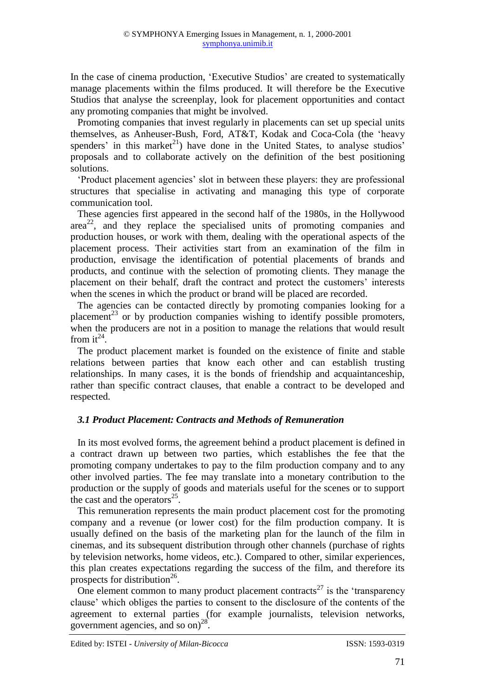In the case of cinema production, 'Executive Studios' are created to systematically manage placements within the films produced. It will therefore be the Executive Studios that analyse the screenplay, look for placement opportunities and contact any promoting companies that might be involved.

Promoting companies that invest regularly in placements can set up special units themselves, as Anheuser-Bush, Ford, AT&T, Kodak and Coca-Cola (the 'heavy spenders' in this market<sup>21</sup>) have done in the United States, to analyse studios' proposals and to collaborate actively on the definition of the best positioning solutions.

'Product placement agencies' slot in between these players: they are professional structures that specialise in activating and managing this type of corporate communication tool.

These agencies first appeared in the second half of the 1980s, in the Hollywood area<sup>22</sup>, and they replace the specialised units of promoting companies and production houses, or work with them, dealing with the operational aspects of the placement process. Their activities start from an examination of the film in production, envisage the identification of potential placements of brands and products, and continue with the selection of promoting clients. They manage the placement on their behalf, draft the contract and protect the customers' interests when the scenes in which the product or brand will be placed are recorded.

The agencies can be contacted directly by promoting companies looking for a placement<sup>23</sup> or by production companies wishing to identify possible promoters, when the producers are not in a position to manage the relations that would result from  $it^{24}$ .

The product placement market is founded on the existence of finite and stable relations between parties that know each other and can establish trusting relationships. In many cases, it is the bonds of friendship and acquaintanceship, rather than specific contract clauses, that enable a contract to be developed and respected.

# *3.1 Product Placement: Contracts and Methods of Remuneration*

In its most evolved forms, the agreement behind a product placement is defined in a contract drawn up between two parties, which establishes the fee that the promoting company undertakes to pay to the film production company and to any other involved parties. The fee may translate into a monetary contribution to the production or the supply of goods and materials useful for the scenes or to support the cast and the operators<sup>25</sup>.

This remuneration represents the main product placement cost for the promoting company and a revenue (or lower cost) for the film production company. It is usually defined on the basis of the marketing plan for the launch of the film in cinemas, and its subsequent distribution through other channels (purchase of rights by television networks, home videos, etc.). Compared to other, similar experiences, this plan creates expectations regarding the success of the film, and therefore its prospects for distribution<sup>26</sup>.

One element common to many product placement contracts<sup>27</sup> is the 'transparency' clause' which obliges the parties to consent to the disclosure of the contents of the agreement to external parties (for example journalists, television networks, government agencies, and so on) 28 .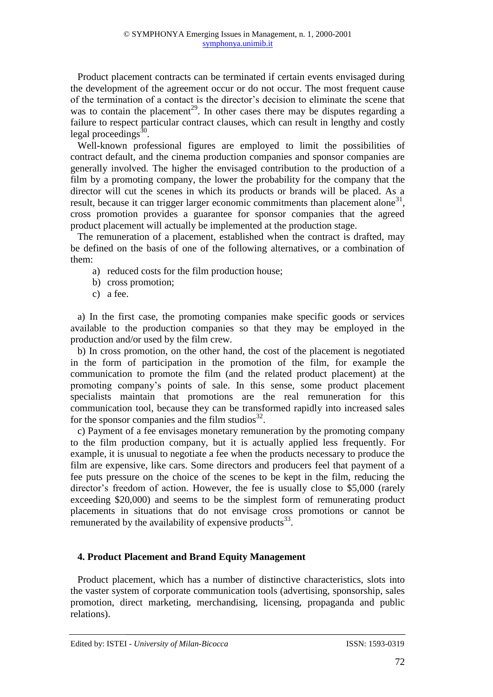Product placement contracts can be terminated if certain events envisaged during the development of the agreement occur or do not occur. The most frequent cause of the termination of a contact is the director's decision to eliminate the scene that was to contain the placement<sup>29</sup>. In other cases there may be disputes regarding a failure to respect particular contract clauses, which can result in lengthy and costly legal proceedings $\frac{30}{2}$ .

Well-known professional figures are employed to limit the possibilities of contract default, and the cinema production companies and sponsor companies are generally involved. The higher the envisaged contribution to the production of a film by a promoting company, the lower the probability for the company that the director will cut the scenes in which its products or brands will be placed. As a result, because it can trigger larger economic commitments than placement alone<sup>31</sup>, cross promotion provides a guarantee for sponsor companies that the agreed product placement will actually be implemented at the production stage.

The remuneration of a placement, established when the contract is drafted, may be defined on the basis of one of the following alternatives, or a combination of them:

- a) reduced costs for the film production house;
- b) cross promotion;
- c) a fee.

a) In the first case, the promoting companies make specific goods or services available to the production companies so that they may be employed in the production and/or used by the film crew.

b) In cross promotion, on the other hand, the cost of the placement is negotiated in the form of participation in the promotion of the film, for example the communication to promote the film (and the related product placement) at the promoting company's points of sale. In this sense, some product placement specialists maintain that promotions are the real remuneration for this communication tool, because they can be transformed rapidly into increased sales for the sponsor companies and the film studios $^{32}$ .

c) Payment of a fee envisages monetary remuneration by the promoting company to the film production company, but it is actually applied less frequently. For example, it is unusual to negotiate a fee when the products necessary to produce the film are expensive, like cars. Some directors and producers feel that payment of a fee puts pressure on the choice of the scenes to be kept in the film, reducing the director's freedom of action. However, the fee is usually close to \$5,000 (rarely exceeding \$20,000) and seems to be the simplest form of remunerating product placements in situations that do not envisage cross promotions or cannot be remunerated by the availability of expensive products $^{33}$ .

# **4. Product Placement and Brand Equity Management**

Product placement, which has a number of distinctive characteristics, slots into the vaster system of corporate communication tools (advertising, sponsorship, sales promotion, direct marketing, merchandising, licensing, propaganda and public relations).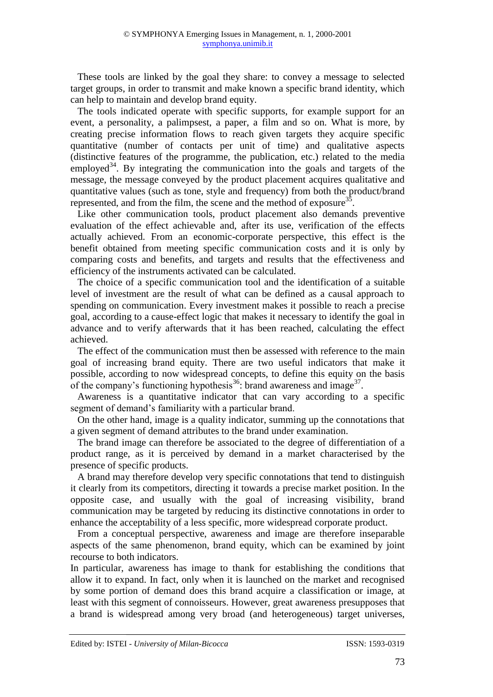These tools are linked by the goal they share: to convey a message to selected target groups, in order to transmit and make known a specific brand identity, which can help to maintain and develop brand equity.

The tools indicated operate with specific supports, for example support for an event, a personality, a palimpsest, a paper, a film and so on. What is more, by creating precise information flows to reach given targets they acquire specific quantitative (number of contacts per unit of time) and qualitative aspects (distinctive features of the programme, the publication, etc.) related to the media employed<sup>34</sup>. By integrating the communication into the goals and targets of the message, the message conveyed by the product placement acquires qualitative and quantitative values (such as tone, style and frequency) from both the product/brand represented, and from the film, the scene and the method of exposure  $35$ .

Like other communication tools, product placement also demands preventive evaluation of the effect achievable and, after its use, verification of the effects actually achieved. From an economic-corporate perspective, this effect is the benefit obtained from meeting specific communication costs and it is only by comparing costs and benefits, and targets and results that the effectiveness and efficiency of the instruments activated can be calculated.

The choice of a specific communication tool and the identification of a suitable level of investment are the result of what can be defined as a causal approach to spending on communication. Every investment makes it possible to reach a precise goal, according to a cause-effect logic that makes it necessary to identify the goal in advance and to verify afterwards that it has been reached, calculating the effect achieved.

The effect of the communication must then be assessed with reference to the main goal of increasing brand equity. There are two useful indicators that make it possible, according to now widespread concepts, to define this equity on the basis of the company's functioning hypothesis<sup>36</sup>: brand awareness and image<sup>37</sup>.

Awareness is a quantitative indicator that can vary according to a specific segment of demand's familiarity with a particular brand.

On the other hand, image is a quality indicator, summing up the connotations that a given segment of demand attributes to the brand under examination.

The brand image can therefore be associated to the degree of differentiation of a product range, as it is perceived by demand in a market characterised by the presence of specific products.

A brand may therefore develop very specific connotations that tend to distinguish it clearly from its competitors, directing it towards a precise market position. In the opposite case, and usually with the goal of increasing visibility, brand communication may be targeted by reducing its distinctive connotations in order to enhance the acceptability of a less specific, more widespread corporate product.

From a conceptual perspective, awareness and image are therefore inseparable aspects of the same phenomenon, brand equity, which can be examined by joint recourse to both indicators.

In particular, awareness has image to thank for establishing the conditions that allow it to expand. In fact, only when it is launched on the market and recognised by some portion of demand does this brand acquire a classification or image, at least with this segment of connoisseurs. However, great awareness presupposes that a brand is widespread among very broad (and heterogeneous) target universes,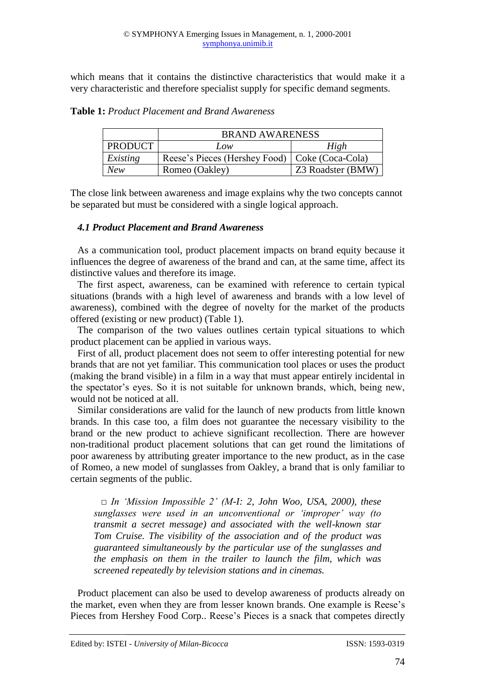which means that it contains the distinctive characteristics that would make it a very characteristic and therefore specialist supply for specific demand segments.

|                | <b>BRAND AWARENESS</b>                           |                   |
|----------------|--------------------------------------------------|-------------------|
| <b>PRODUCT</b> | Low                                              | High              |
| Existing       | Reese's Pieces (Hershey Food)   Coke (Coca-Cola) |                   |
| <b>New</b>     | Romeo (Oakley)                                   | Z3 Roadster (BMW) |

**Table 1:** *Product Placement and Brand Awareness*

The close link between awareness and image explains why the two concepts cannot be separated but must be considered with a single logical approach.

## *4.1 Product Placement and Brand Awareness*

As a communication tool, product placement impacts on brand equity because it influences the degree of awareness of the brand and can, at the same time, affect its distinctive values and therefore its image.

The first aspect, awareness, can be examined with reference to certain typical situations (brands with a high level of awareness and brands with a low level of awareness), combined with the degree of novelty for the market of the products offered (existing or new product) (Table 1).

The comparison of the two values outlines certain typical situations to which product placement can be applied in various ways.

First of all, product placement does not seem to offer interesting potential for new brands that are not yet familiar. This communication tool places or uses the product (making the brand visible) in a film in a way that must appear entirely incidental in the spectator's eyes. So it is not suitable for unknown brands, which, being new, would not be noticed at all.

Similar considerations are valid for the launch of new products from little known brands. In this case too, a film does not guarantee the necessary visibility to the brand or the new product to achieve significant recollection. There are however non-traditional product placement solutions that can get round the limitations of poor awareness by attributing greater importance to the new product, as in the case of Romeo, a new model of sunglasses from Oakley, a brand that is only familiar to certain segments of the public.

□ *In 'Mission Impossible 2' (M-I: 2, John Woo, USA, 2000), these sunglasses were used in an unconventional or 'improper' way (to transmit a secret message) and associated with the well-known star Tom Cruise. The visibility of the association and of the product was guaranteed simultaneously by the particular use of the sunglasses and the emphasis on them in the trailer to launch the film, which was screened repeatedly by television stations and in cinemas.*

Product placement can also be used to develop awareness of products already on the market, even when they are from lesser known brands. One example is Reese's Pieces from Hershey Food Corp.. Reese's Pieces is a snack that competes directly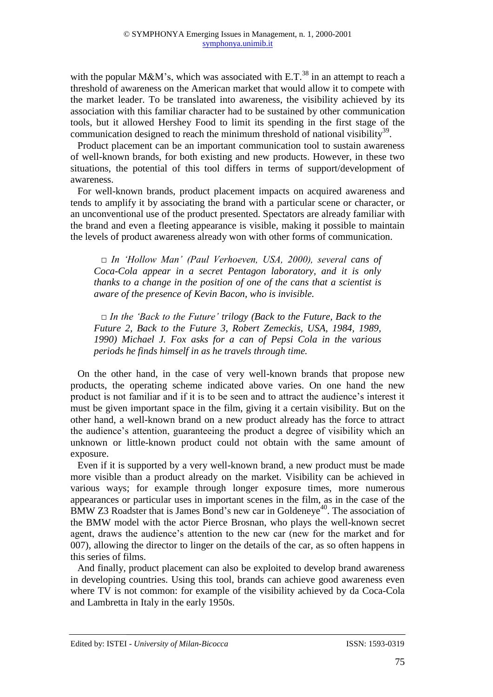with the popular M&M's, which was associated with  $E.T.^{38}$  in an attempt to reach a threshold of awareness on the American market that would allow it to compete with the market leader. To be translated into awareness, the visibility achieved by its association with this familiar character had to be sustained by other communication tools, but it allowed Hershey Food to limit its spending in the first stage of the communication designed to reach the minimum threshold of national visibility<sup>39</sup>.

Product placement can be an important communication tool to sustain awareness of well-known brands, for both existing and new products. However, in these two situations, the potential of this tool differs in terms of support/development of awareness.

For well-known brands, product placement impacts on acquired awareness and tends to amplify it by associating the brand with a particular scene or character, or an unconventional use of the product presented. Spectators are already familiar with the brand and even a fleeting appearance is visible, making it possible to maintain the levels of product awareness already won with other forms of communication.

*□ In 'Hollow Man' (Paul Verhoeven, USA, 2000), several cans of Coca-Cola appear in a secret Pentagon laboratory, and it is only thanks to a change in the position of one of the cans that a scientist is aware of the presence of Kevin Bacon, who is invisible.* 

*□ In the 'Back to the Future' trilogy (Back to the Future, Back to the Future 2, Back to the Future 3, Robert Zemeckis, USA, 1984, 1989, 1990) Michael J. Fox asks for a can of Pepsi Cola in the various periods he finds himself in as he travels through time.* 

On the other hand, in the case of very well-known brands that propose new products, the operating scheme indicated above varies. On one hand the new product is not familiar and if it is to be seen and to attract the audience's interest it must be given important space in the film, giving it a certain visibility. But on the other hand, a well-known brand on a new product already has the force to attract the audience's attention, guaranteeing the product a degree of visibility which an unknown or little-known product could not obtain with the same amount of exposure.

Even if it is supported by a very well-known brand, a new product must be made more visible than a product already on the market. Visibility can be achieved in various ways; for example through longer exposure times, more numerous appearances or particular uses in important scenes in the film, as in the case of the BMW Z3 Roadster that is James Bond's new car in Goldeneye<sup>40</sup>. The association of the BMW model with the actor Pierce Brosnan, who plays the well-known secret agent, draws the audience's attention to the new car (new for the market and for 007), allowing the director to linger on the details of the car, as so often happens in this series of films.

And finally, product placement can also be exploited to develop brand awareness in developing countries. Using this tool, brands can achieve good awareness even where TV is not common: for example of the visibility achieved by da Coca-Cola and Lambretta in Italy in the early 1950s.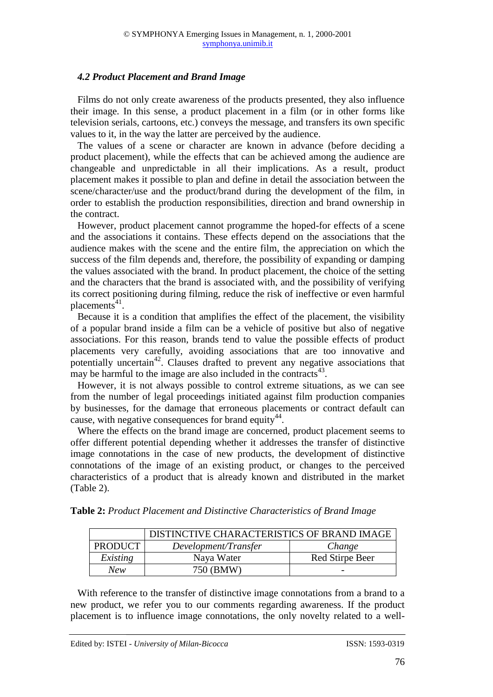## *4.2 Product Placement and Brand Image*

Films do not only create awareness of the products presented, they also influence their image. In this sense, a product placement in a film (or in other forms like television serials, cartoons, etc.) conveys the message, and transfers its own specific values to it, in the way the latter are perceived by the audience.

The values of a scene or character are known in advance (before deciding a product placement), while the effects that can be achieved among the audience are changeable and unpredictable in all their implications. As a result, product placement makes it possible to plan and define in detail the association between the scene/character/use and the product/brand during the development of the film, in order to establish the production responsibilities, direction and brand ownership in the contract.

However, product placement cannot programme the hoped-for effects of a scene and the associations it contains. These effects depend on the associations that the audience makes with the scene and the entire film, the appreciation on which the success of the film depends and, therefore, the possibility of expanding or damping the values associated with the brand. In product placement, the choice of the setting and the characters that the brand is associated with, and the possibility of verifying its correct positioning during filming, reduce the risk of ineffective or even harmful placements<sup>41</sup>.

Because it is a condition that amplifies the effect of the placement, the visibility of a popular brand inside a film can be a vehicle of positive but also of negative associations. For this reason, brands tend to value the possible effects of product placements very carefully, avoiding associations that are too innovative and potentially uncertain<sup>42</sup>. Clauses drafted to prevent any negative associations that may be harmful to the image are also included in the contracts $43$ .

However, it is not always possible to control extreme situations, as we can see from the number of legal proceedings initiated against film production companies by businesses, for the damage that erroneous placements or contract default can cause, with negative consequences for brand equity  $44$ .

Where the effects on the brand image are concerned, product placement seems to offer different potential depending whether it addresses the transfer of distinctive image connotations in the case of new products, the development of distinctive connotations of the image of an existing product, or changes to the perceived characteristics of a product that is already known and distributed in the market (Table 2).

|                | DISTINCTIVE CHARACTERISTICS OF BRAND IMAGE |                 |
|----------------|--------------------------------------------|-----------------|
| <b>PRODUCT</b> | Development/Transfer                       | Change          |
| Existing       | Naya Water                                 | Red Stirpe Beer |
| New            | 750 (BMW)                                  | -               |

**Table 2:** *Product Placement and Distinctive Characteristics of Brand Image*

With reference to the transfer of distinctive image connotations from a brand to a new product, we refer you to our comments regarding awareness. If the product placement is to influence image connotations, the only novelty related to a well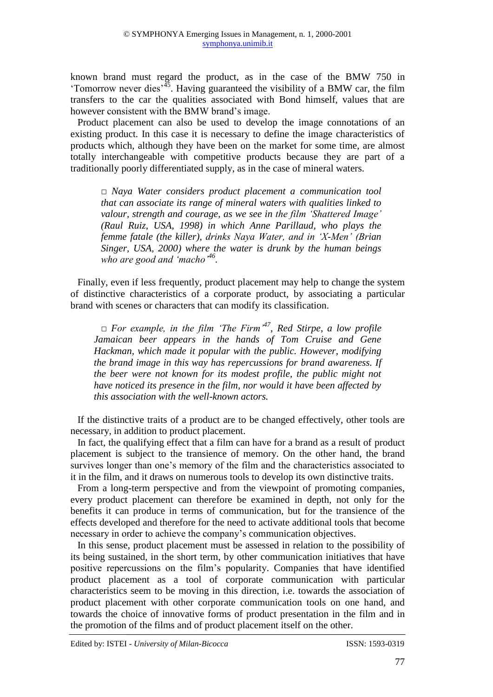known brand must regard the product, as in the case of the BMW 750 in 'Tomorrow never dies<sup> $3\frac{45}{15}$ </sup>. Having guaranteed the visibility of a BMW car, the film transfers to the car the qualities associated with Bond himself, values that are however consistent with the BMW brand's image.

Product placement can also be used to develop the image connotations of an existing product. In this case it is necessary to define the image characteristics of products which, although they have been on the market for some time, are almost totally interchangeable with competitive products because they are part of a traditionally poorly differentiated supply, as in the case of mineral waters.

*□ Naya Water considers product placement a communication tool that can associate its range of mineral waters with qualities linked to valour, strength and courage, as we see in the film 'Shattered Image' (Raul Ruiz, USA, 1998) in which Anne Parillaud, who plays the femme fatale (the killer), drinks Naya Water, and in 'X-Men' (Brian Singer, USA, 2000) where the water is drunk by the human beings who are good and 'macho'<sup>46</sup> .*

Finally, even if less frequently, product placement may help to change the system of distinctive characteristics of a corporate product, by associating a particular brand with scenes or characters that can modify its classification.

*□ For example, in the film 'The Firm'<sup>47</sup>, Red Stirpe, a low profile Jamaican beer appears in the hands of Tom Cruise and Gene Hackman, which made it popular with the public. However, modifying the brand image in this way has repercussions for brand awareness. If the beer were not known for its modest profile, the public might not have noticed its presence in the film, nor would it have been affected by this association with the well-known actors.* 

If the distinctive traits of a product are to be changed effectively, other tools are necessary, in addition to product placement.

In fact, the qualifying effect that a film can have for a brand as a result of product placement is subject to the transience of memory. On the other hand, the brand survives longer than one's memory of the film and the characteristics associated to it in the film, and it draws on numerous tools to develop its own distinctive traits.

From a long-term perspective and from the viewpoint of promoting companies, every product placement can therefore be examined in depth, not only for the benefits it can produce in terms of communication, but for the transience of the effects developed and therefore for the need to activate additional tools that become necessary in order to achieve the company's communication objectives.

In this sense, product placement must be assessed in relation to the possibility of its being sustained, in the short term, by other communication initiatives that have positive repercussions on the film's popularity. Companies that have identified product placement as a tool of corporate communication with particular characteristics seem to be moving in this direction, i.e. towards the association of product placement with other corporate communication tools on one hand, and towards the choice of innovative forms of product presentation in the film and in the promotion of the films and of product placement itself on the other.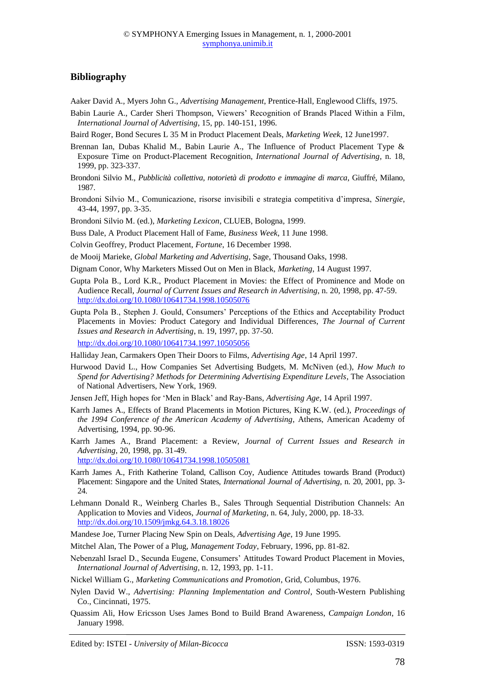#### **Bibliography**

- Aaker David A., Myers John G., *Advertising Management*, Prentice-Hall, Englewood Cliffs, 1975.
- Babin Laurie A., Carder Sheri Thompson, Viewers' Recognition of Brands Placed Within a Film, *International Journal of Advertising*, 15, pp. 140-151, 1996.
- Baird Roger, Bond Secures L 35 M in Product Placement Deals, *Marketing Week*, 12 June1997.
- Brennan Ian, Dubas Khalid M., Babin Laurie A., The Influence of Product Placement Type & Exposure Time on Product-Placement Recognition, *International Journal of Advertising*, n. 18, 1999, pp. 323-337.
- Brondoni Silvio M., *Pubblicità collettiva, notorietà di prodotto e immagine di marca*, Giuffré, Milano, 1987.
- Brondoni Silvio M., Comunicazione, risorse invisibili e strategia competitiva d'impresa, *Sinergie*, 43-44, 1997, pp. 3-35.
- Brondoni Silvio M. (ed.), *Marketing Lexicon*, CLUEB, Bologna, 1999.
- Buss Dale, A Product Placement Hall of Fame, *Business Week*, 11 June 1998.
- Colvin Geoffrey, Product Placement, *Fortune*, 16 December 1998.
- de Mooij Marieke, *Global Marketing and Advertising*, Sage, Thousand Oaks, 1998.
- Dignam Conor, Why Marketers Missed Out on Men in Black, *Marketing*, 14 August 1997.
- Gupta Pola B., Lord K.R., Product Placement in Movies: the Effect of Prominence and Mode on Audience Recall, *Journal of Current Issues and Research in Advertising*, n. 20, 1998, pp. 47-59. [http://dx.doi.org/10.1080/10641734.1998.10505076](http://dx.doi.org/10.1080%2F10641734.1998.10505076)
- Gupta Pola B., Stephen J. Gould, Consumers' Perceptions of the Ethics and Acceptability Product Placements in Movies: Product Category and Individual Differences, *The Journal of Current Issues and Research in Advertising*, n. 19, 1997, pp. 37-50. [http://dx.doi.org/10.1080/10641734.1997.10505056](http://dx.doi.org/10.1080%2F10641734.1997.10505056)
- Halliday Jean, Carmakers Open Their Doors to Films, *Advertising Age*, 14 April 1997.
- Hurwood David L., How Companies Set Advertising Budgets, M. McNiven (ed.), *How Much to Spend for Advertising? Methods for Determining Advertising Expenditure Levels*, The Association of National Advertisers, New York, 1969.
- Jensen Jeff, High hopes for 'Men in Black' and Ray-Bans, *Advertising Age*, 14 April 1997.
- Karrh James A., Effects of Brand Placements in Motion Pictures, King K.W. (ed.), *Proceedings of the 1994 Conference of the American Academy of Advertising*, Athens, American Academy of Advertising, 1994, pp. 90-96.
- Karrh James A., Brand Placement: a Review, *Journal of Current Issues and Research in Advertising*, 20, 1998, pp. 31-49.
	- [http://dx.doi.org/10.1080/10641734.1998.10505081](http://dx.doi.org/10.1080%2F10641734.1998.10505081)
- Karrh James A., Frith Katherine Toland, Callison Coy, Audience Attitudes towards Brand (Product) Placement: Singapore and the United States, *International Journal of Advertising*, n. 20, 2001, pp. 3- 24.
- Lehmann Donald R., Weinberg Charles B., Sales Through Sequential Distribution Channels: An Application to Movies and Videos, *Journal of Marketing*, n. 64, July, 2000, pp. 18-33. [http://dx.doi.org/10.1509/jmkg.64.3.18.18026](http://dx.doi.org/10.1509%2Fjmkg.64.3.18.18026)
- Mandese Joe, Turner Placing New Spin on Deals, *Advertising Age*, 19 June 1995.
- Mitchel Alan, The Power of a Plug, *Management Today*, February, 1996, pp. 81-82.
- Nebenzahl Israel D., Secunda Eugene, Consumers' Attitudes Toward Product Placement in Movies, *International Journal of Advertising*, n. 12, 1993, pp. 1-11.
- Nickel William G., *Marketing Communications and Promotion*, Grid, Columbus, 1976.
- Nylen David W., *Advertising: Planning Implementation and Control*, South-Western Publishing Co., Cincinnati, 1975.
- Quassim Ali, How Ericsson Uses James Bond to Build Brand Awareness, *Campaign London*, 16 January 1998.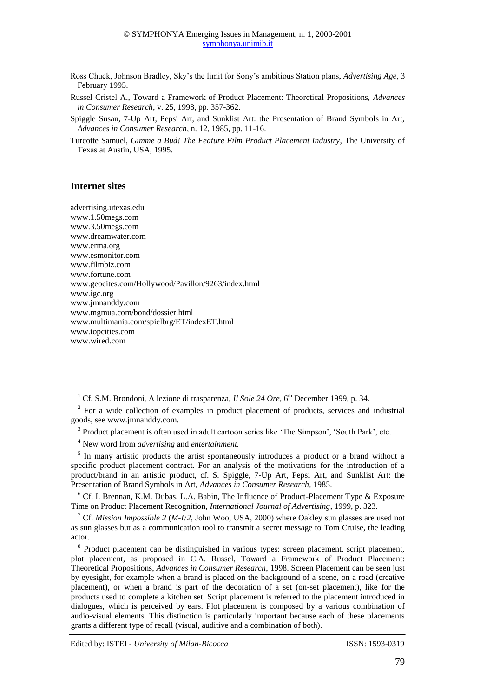- Ross Chuck, Johnson Bradley, Sky's the limit for Sony's ambitious Station plans, *Advertising Age*, 3 February 1995.
- Russel Cristel A., Toward a Framework of Product Placement: Theoretical Propositions, *Advances in Consumer Research*, v. 25, 1998, pp. 357-362.
- Spiggle Susan, 7-Up Art, Pepsi Art, and Sunklist Art: the Presentation of Brand Symbols in Art, *Advances in Consumer Research*, n. 12, 1985, pp. 11-16.
- Turcotte Samuel, *Gimme a Bud! The Feature Film Product Placement Industry*, The University of Texas at Austin, USA, 1995.

#### **Internet sites**

**.** 

advertising.utexas.edu www.1.50megs.com www.3.50megs.com www.dreamwater.com www.erma.org www.esmonitor.com www.filmbiz.com www.fortune.com www.geocites.com/Hollywood/Pavillon/9263/index.html www.igc.org www.jmnanddy.com www.mgmua.com/bond/dossier.html www.multimania.com/spielbrg/ET/indexET.html www.topcities.com www.wired.com

<sup>4</sup> New word from *advertising* and *entertainment*.

<sup>5</sup> In many artistic products the artist spontaneously introduces a product or a brand without a specific product placement contract. For an analysis of the motivations for the introduction of a product/brand in an artistic product, cf. S. Spiggle, 7-Up Art, Pepsi Art, and Sunklist Art: the Presentation of Brand Symbols in Art, *Advances in Consumer Research*, 1985.

<sup>6</sup> Cf. I. Brennan, K.M. Dubas, L.A. Babin, The Influence of Product-Placement Type & Exposure Time on Product Placement Recognition, *International Journal of Advertising*, 1999, p. 323.

<sup>8</sup> Product placement can be distinguished in various types: screen placement, script placement, plot placement, as proposed in C.A. Russel, Toward a Framework of Product Placement: Theoretical Propositions, *Advances in Consumer Research*, 1998. Screen Placement can be seen just by eyesight, for example when a brand is placed on the background of a scene, on a road (creative placement), or when a brand is part of the decoration of a set (on-set placement), like for the products used to complete a kitchen set. Script placement is referred to the placement introduced in dialogues, which is perceived by ears. Plot placement is composed by a various combination of audio-visual elements. This distinction is particularly important because each of these placements grants a different type of recall (visual, auditive and a combination of both).

<sup>&</sup>lt;sup>1</sup> Cf. S.M. Brondoni, A lezione di trasparenza, *Il Sole 24 Ore*, 6<sup>th</sup> December 1999, p. 34.

 $2^2$  For a wide collection of examples in product placement of products, services and industrial goods, see www.jmnanddy.com.

<sup>&</sup>lt;sup>3</sup> Product placement is often used in adult cartoon series like 'The Simpson', 'South Park', etc.

<sup>7</sup> Cf. *Mission Impossible 2* (*M-I:2*, John Woo, USA, 2000) where Oakley sun glasses are used not as sun glasses but as a communication tool to transmit a secret message to Tom Cruise, the leading actor.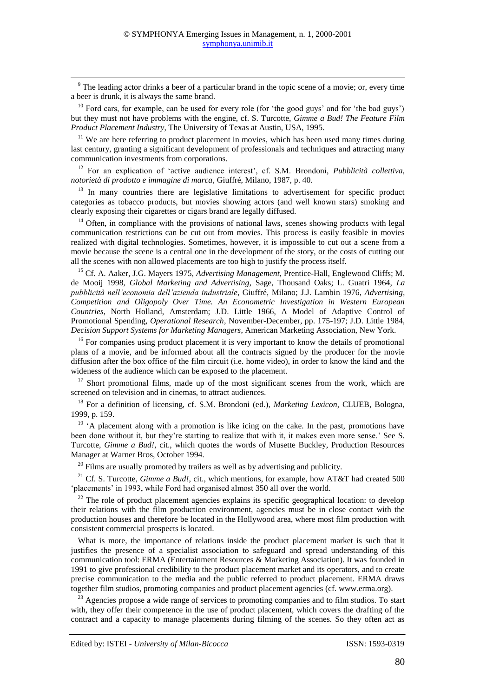<sup>9</sup> The leading actor drinks a beer of a particular brand in the topic scene of a movie; or, every time a beer is drunk, it is always the same brand.

**.** 

 $10$  Ford cars, for example, can be used for every role (for 'the good guys' and for 'the bad guys') but they must not have problems with the engine, cf. S. Turcotte, *Gimme a Bud! The Feature Film Product Placement Industry*, The University of Texas at Austin, USA, 1995.

 $11$  We are here referring to product placement in movies, which has been used many times during last century, granting a significant development of professionals and techniques and attracting many communication investments from corporations.

<sup>12</sup> For an explication of 'active audience interest', cf. S.M. Brondoni, *Pubblicità collettiva, notorietà di prodotto e immagine di marca*, Giuffré, Milano, 1987, p. 40.

<sup>13</sup> In many countries there are legislative limitations to advertisement for specific product categories as tobacco products, but movies showing actors (and well known stars) smoking and clearly exposing their cigarettes or cigars brand are legally diffused.

 $14$  Often, in compliance with the provisions of national laws, scenes showing products with legal communication restrictions can be cut out from movies. This process is easily feasible in movies realized with digital technologies. Sometimes, however, it is impossible to cut out a scene from a movie because the scene is a central one in the development of the story, or the costs of cutting out all the scenes with non allowed placements are too high to justify the process itself.

<sup>15</sup> Cf. A. Aaker, J.G. Mayers 1975, *Advertising Management*, Prentice-Hall, Englewood Cliffs; M. de Mooij 1998, *Global Marketing and Advertising*, Sage, Thousand Oaks; L. Guatri 1964, *La pubblicità nell'economia dell'azienda industriale*, Giuffré, Milano; J.J. Lambin 1976, *Advertising, Competition and Oligopoly Over Time. An Econometric Investigation in Western European Countries*, North Holland, Amsterdam; J.D. Little 1966, A Model of Adaptive Control of Promotional Spending, *Operational Research*, November-December, pp. 175-197; J.D. Little 1984, *Decision Support Systems for Marketing Managers*, American Marketing Association, New York.

<sup>16</sup> For companies using product placement it is very important to know the details of promotional plans of a movie, and be informed about all the contracts signed by the producer for the movie diffusion after the box office of the film circuit (i.e. home video), in order to know the kind and the wideness of the audience which can be exposed to the placement.

<sup>17</sup> Short promotional films, made up of the most significant scenes from the work, which are screened on television and in cinemas, to attract audiences.

<sup>18</sup> For a definition of licensing, cf. S.M. Brondoni (ed.), *Marketing Lexicon*, CLUEB, Bologna, 1999, p. 159.

<sup>19</sup>  $^{\prime}$ A placement along with a promotion is like icing on the cake. In the past, promotions have been done without it, but they're starting to realize that with it, it makes even more sense.' See S. Turcotte, *Gimme a Bud!*, cit., which quotes the words of Musette Buckley, Production Resources Manager at Warner Bros, October 1994.

 $20$  Films are usually promoted by trailers as well as by advertising and publicity.

<sup>21</sup> Cf. S. Turcotte, *Gimme a Bud!*, cit., which mentions, for example, how AT&T had created 500 'placements' in 1993, while Ford had organised almost 350 all over the world.

 $22$  The role of product placement agencies explains its specific geographical location: to develop their relations with the film production environment, agencies must be in close contact with the production houses and therefore be located in the Hollywood area, where most film production with consistent commercial prospects is located.

What is more, the importance of relations inside the product placement market is such that it justifies the presence of a specialist association to safeguard and spread understanding of this communication tool: ERMA (Entertainment Resources & Marketing Association). It was founded in 1991 to give professional credibility to the product placement market and its operators, and to create precise communication to the media and the public referred to product placement. ERMA draws together film studios, promoting companies and product placement agencies (cf. www.erma.org).

<sup>23</sup> Agencies propose a wide range of services to promoting companies and to film studios. To start with, they offer their competence in the use of product placement, which covers the drafting of the contract and a capacity to manage placements during filming of the scenes. So they often act as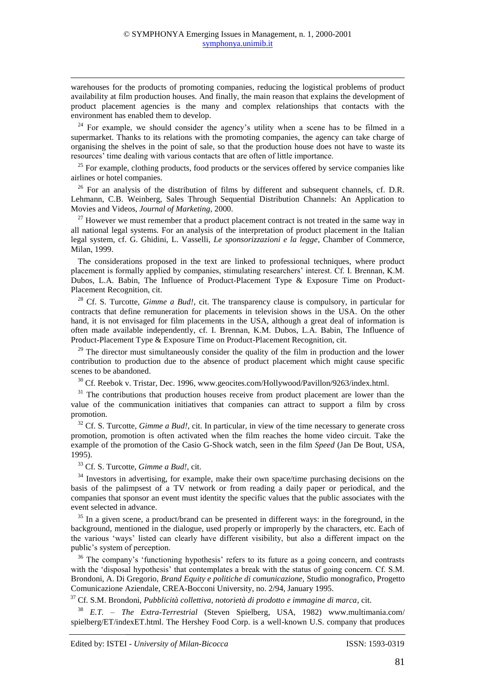warehouses for the products of promoting companies, reducing the logistical problems of product availability at film production houses. And finally, the main reason that explains the development of product placement agencies is the many and complex relationships that contacts with the environment has enabled them to develop.

 $24$  For example, we should consider the agency's utility when a scene has to be filmed in a supermarket. Thanks to its relations with the promoting companies, the agency can take charge of organising the shelves in the point of sale, so that the production house does not have to waste its resources' time dealing with various contacts that are often of little importance.

<sup>25</sup> For example, clothing products, food products or the services offered by service companies like airlines or hotel companies.

 $26$  For an analysis of the distribution of films by different and subsequent channels, cf. D.R. Lehmann, C.B. Weinberg, Sales Through Sequential Distribution Channels: An Application to Movies and Videos, *Journal of Marketing*, 2000.

 $27$  However we must remember that a product placement contract is not treated in the same way in all national legal systems. For an analysis of the interpretation of product placement in the Italian legal system, cf. G. Ghidini, L. Vasselli, *Le sponsorizzazioni e la legge*, Chamber of Commerce, Milan, 1999.

The considerations proposed in the text are linked to professional techniques, where product placement is formally applied by companies, stimulating researchers' interest. Cf. I. Brennan, K.M. Dubos, L.A. Babin, The Influence of Product-Placement Type & Exposure Time on Product-Placement Recognition, cit.

<sup>28</sup> Cf. S. Turcotte, *Gimme a Bud!*, cit. The transparency clause is compulsory, in particular for contracts that define remuneration for placements in television shows in the USA. On the other hand, it is not envisaged for film placements in the USA, although a great deal of information is often made available independently, cf. I. Brennan, K.M. Dubos, L.A. Babin, The Influence of Product-Placement Type & Exposure Time on Product-Placement Recognition, cit.

 $29$  The director must simultaneously consider the quality of the film in production and the lower contribution to production due to the absence of product placement which might cause specific scenes to be abandoned.

<sup>30</sup> Cf. Reebok v. Tristar, Dec. 1996, www.geocites.com/Hollywood/Pavillon/9263/index.html.

 $31$  The contributions that production houses receive from product placement are lower than the value of the communication initiatives that companies can attract to support a film by cross promotion.

<sup>32</sup> Cf. S. Turcotte, *Gimme a Bud!*, cit. In particular, in view of the time necessary to generate cross promotion, promotion is often activated when the film reaches the home video circuit. Take the example of the promotion of the Casio G-Shock watch, seen in the film *Speed* (Jan De Bout, USA, 1995).

<sup>33</sup> Cf. S. Turcotte, *Gimme a Bud!*, cit.

**.** 

 $34$  Investors in advertising, for example, make their own space/time purchasing decisions on the basis of the palimpsest of a TV network or from reading a daily paper or periodical, and the companies that sponsor an event must identity the specific values that the public associates with the event selected in advance.

 $35$  In a given scene, a product/brand can be presented in different ways: in the foreground, in the background, mentioned in the dialogue, used properly or improperly by the characters, etc. Each of the various 'ways' listed can clearly have different visibility, but also a different impact on the public's system of perception.

<sup>36</sup> The company's 'functioning hypothesis' refers to its future as a going concern, and contrasts with the 'disposal hypothesis' that contemplates a break with the status of going concern. Cf. S.M. Brondoni, A. Di Gregorio, *Brand Equity e politiche di comunicazione,* Studio monografico, Progetto Comunicazione Aziendale, CREA-Bocconi University, no. 2/94, January 1995.

<sup>37</sup> Cf. S.M. Brondoni, *Pubblicità collettiva, notorietà di prodotto e immagine di marca*, cit.

<sup>38</sup> *E.T. – The Extra-Terrestrial* (Steven Spielberg, USA, 1982) www.multimania.com/ spielberg/ET/indexET.html. The Hershey Food Corp. is a well-known U.S. company that produces